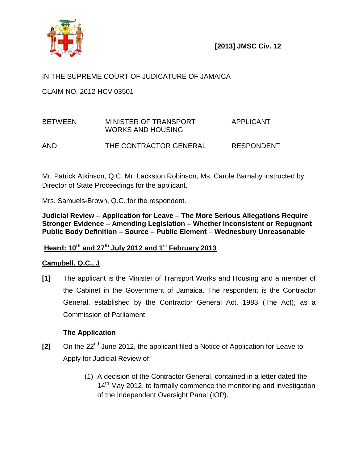

# IN THE SUPREME COURT OF JUDICATURE OF JAMAICA

CLAIM NO. 2012 HCV 03501

# BETWEEN MINISTER OF TRANSPORT APPLICANT WORKS AND HOUSING AND THE CONTRACTOR GENERAL RESPONDENT

Mr. Patrick Atkinson, Q.C, Mr. Lackston Robinson, Ms. Carole Barnaby instructed by Director of State Proceedings for the applicant.

Mrs. Samuels-Brown, Q.C. for the respondent.

**Judicial Review – Application for Leave – The More Serious Allegations Require Stronger Evidence – Amending Legislation – Whether Inconsistent or Repugnant Public Body Definition – Source – Public Element** – **Wednesbury Unreasonable**

# **Heard: 10th and 27th July 2012 and 1 st February 2013**

# **Campbell, Q.C., J**

**[1]** The applicant is the Minister of Transport Works and Housing and a member of the Cabinet in the Government of Jamaica. The respondent is the Contractor General, established by the Contractor General Act, 1983 (The Act), as a Commission of Parliament.

## **The Application**

- **[2]** On the 22nd June 2012, the applicant filed a Notice of Application for Leave to Apply for Judicial Review of:
	- (1) A decision of the Contractor General, contained in a letter dated the 14<sup>th</sup> May 2012, to formally commence the monitoring and investigation of the Independent Oversight Panel (IOP).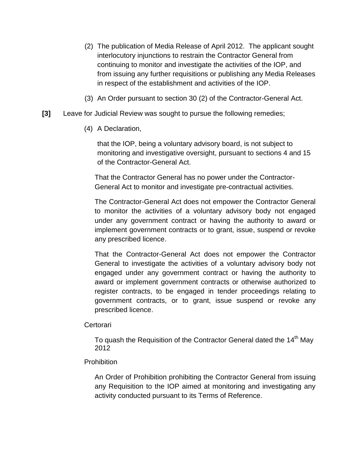- (2) The publication of Media Release of April 2012. The applicant sought interlocutory injunctions to restrain the Contractor General from continuing to monitor and investigate the activities of the IOP, and from issuing any further requisitions or publishing any Media Releases in respect of the establishment and activities of the IOP.
- (3) An Order pursuant to section 30 (2) of the Contractor-General Act.
- **[3]** Leave for Judicial Review was sought to pursue the following remedies;
	- (4) A Declaration,

that the IOP, being a voluntary advisory board, is not subject to monitoring and investigative oversight, pursuant to sections 4 and 15 of the Contractor-General Act.

That the Contractor General has no power under the Contractor-General Act to monitor and investigate pre-contractual activities.

The Contractor-General Act does not empower the Contractor General to monitor the activities of a voluntary advisory body not engaged under any government contract or having the authority to award or implement government contracts or to grant, issue, suspend or revoke any prescribed licence.

That the Contractor-General Act does not empower the Contractor General to investigate the activities of a voluntary advisory body not engaged under any government contract or having the authority to award or implement government contracts or otherwise authorized to register contracts, to be engaged in tender proceedings relating to government contracts, or to grant, issue suspend or revoke any prescribed licence.

**Certorari** 

To quash the Requisition of the Contractor General dated the  $14<sup>th</sup>$  May 2012

#### **Prohibition**

An Order of Prohibition prohibiting the Contractor General from issuing any Requisition to the IOP aimed at monitoring and investigating any activity conducted pursuant to its Terms of Reference.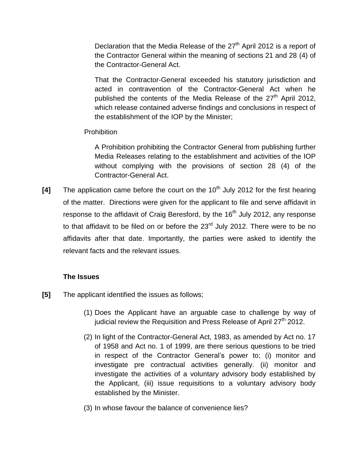Declaration that the Media Release of the  $27<sup>th</sup>$  April 2012 is a report of the Contractor General within the meaning of sections 21 and 28 (4) of the Contractor-General Act.

That the Contractor-General exceeded his statutory jurisdiction and acted in contravention of the Contractor-General Act when he published the contents of the Media Release of the  $27<sup>th</sup>$  April 2012, which release contained adverse findings and conclusions in respect of the establishment of the IOP by the Minister;

## **Prohibition**

A Prohibition prohibiting the Contractor General from publishing further Media Releases relating to the establishment and activities of the IOP without complying with the provisions of section 28 (4) of the Contractor-General Act.

[4] The application came before the court on the 10<sup>th</sup> July 2012 for the first hearing of the matter. Directions were given for the applicant to file and serve affidavit in response to the affidavit of Craig Beresford, by the  $16<sup>th</sup>$  July 2012, any response to that affidavit to be filed on or before the 23<sup>rd</sup> July 2012. There were to be no affidavits after that date. Importantly, the parties were asked to identify the relevant facts and the relevant issues.

## **The Issues**

- **[5]** The applicant identified the issues as follows;
	- (1) Does the Applicant have an arguable case to challenge by way of iudicial review the Requisition and Press Release of April  $27<sup>th</sup>$  2012.
	- (2) In light of the Contractor-General Act, 1983, as amended by Act no. 17 of 1958 and Act no. 1 of 1999, are there serious questions to be tried in respect of the Contractor General's power to; (i) monitor and investigate pre contractual activities generally. (ii) monitor and investigate the activities of a voluntary advisory body established by the Applicant, (iii) issue requisitions to a voluntary advisory body established by the Minister.
	- (3) In whose favour the balance of convenience lies?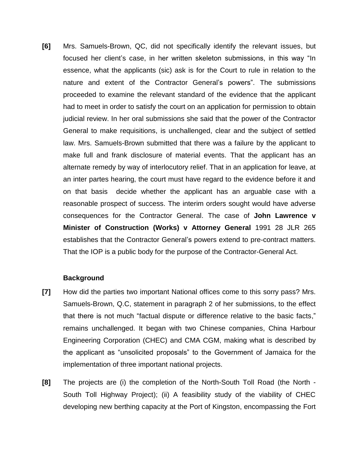**[6]** Mrs. Samuels-Brown, QC, did not specifically identify the relevant issues, but focused her client's case, in her written skeleton submissions, in this way "In essence, what the applicants (sic) ask is for the Court to rule in relation to the nature and extent of the Contractor General's powers". The submissions proceeded to examine the relevant standard of the evidence that the applicant had to meet in order to satisfy the court on an application for permission to obtain judicial review. In her oral submissions she said that the power of the Contractor General to make requisitions, is unchallenged, clear and the subject of settled law. Mrs. Samuels-Brown submitted that there was a failure by the applicant to make full and frank disclosure of material events. That the applicant has an alternate remedy by way of interlocutory relief. That in an application for leave, at an inter partes hearing, the court must have regard to the evidence before it and on that basis decide whether the applicant has an arguable case with a reasonable prospect of success. The interim orders sought would have adverse consequences for the Contractor General. The case of **John Lawrence v Minister of Construction (Works) v Attorney General** 1991 28 JLR 265 establishes that the Contractor General's powers extend to pre-contract matters. That the IOP is a public body for the purpose of the Contractor-General Act.

#### **Background**

- **[7]** How did the parties two important National offices come to this sorry pass? Mrs. Samuels-Brown, Q.C, statement in paragraph 2 of her submissions, to the effect that there is not much "factual dispute or difference relative to the basic facts," remains unchallenged. It began with two Chinese companies, China Harbour Engineering Corporation (CHEC) and CMA CGM, making what is described by the applicant as "unsolicited proposals" to the Government of Jamaica for the implementation of three important national projects.
- **[8]** The projects are (i) the completion of the North-South Toll Road (the North South Toll Highway Project); (ii) A feasibility study of the viability of CHEC developing new berthing capacity at the Port of Kingston, encompassing the Fort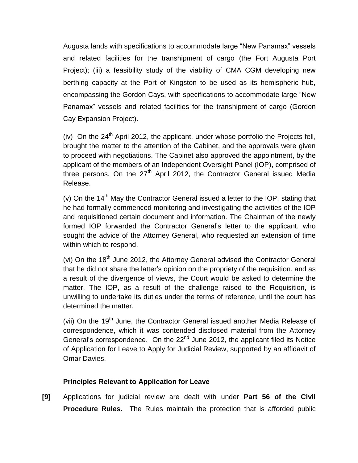Augusta lands with specifications to accommodate large "New Panamax" vessels and related facilities for the transhipment of cargo (the Fort Augusta Port Project); (iii) a feasibility study of the viability of CMA CGM developing new berthing capacity at the Port of Kingston to be used as its hemispheric hub, encompassing the Gordon Cays, with specifications to accommodate large "New Panamax" vessels and related facilities for the transhipment of cargo (Gordon Cay Expansion Project).

(iv) On the  $24<sup>th</sup>$  April 2012, the applicant, under whose portfolio the Projects fell, brought the matter to the attention of the Cabinet, and the approvals were given to proceed with negotiations. The Cabinet also approved the appointment, by the applicant of the members of an Independent Oversight Panel (IOP), comprised of three persons. On the  $27<sup>th</sup>$  April 2012, the Contractor General issued Media Release.

(v) On the  $14<sup>th</sup>$  May the Contractor General issued a letter to the IOP, stating that he had formally commenced monitoring and investigating the activities of the IOP and requisitioned certain document and information. The Chairman of the newly formed IOP forwarded the Contractor General's letter to the applicant, who sought the advice of the Attorney General, who requested an extension of time within which to respond.

(vi) On the  $18<sup>th</sup>$  June 2012, the Attorney General advised the Contractor General that he did not share the latter's opinion on the propriety of the requisition, and as a result of the divergence of views, the Court would be asked to determine the matter. The IOP, as a result of the challenge raised to the Requisition, is unwilling to undertake its duties under the terms of reference, until the court has determined the matter.

(vii) On the 19<sup>th</sup> June, the Contractor General issued another Media Release of correspondence, which it was contended disclosed material from the Attorney General's correspondence. On the 22<sup>nd</sup> June 2012, the applicant filed its Notice of Application for Leave to Apply for Judicial Review, supported by an affidavit of Omar Davies.

## **Principles Relevant to Application for Leave**

**[9]** Applications for judicial review are dealt with under **Part 56 of the Civil Procedure Rules.** The Rules maintain the protection that is afforded public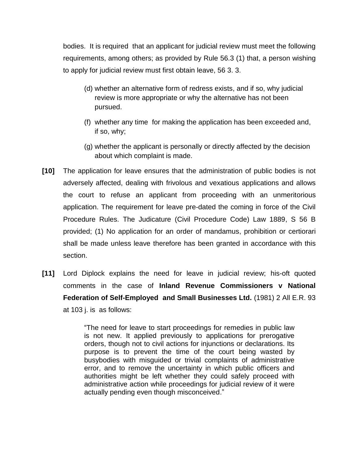bodies. It is required that an applicant for judicial review must meet the following requirements, among others; as provided by Rule 56.3 (1) that, a person wishing to apply for judicial review must first obtain leave, 56 3. 3.

- (d) whether an alternative form of redress exists, and if so, why judicial review is more appropriate or why the alternative has not been pursued.
- (f) whether any time for making the application has been exceeded and, if so, why;
- (g) whether the applicant is personally or directly affected by the decision about which complaint is made.
- **[10]** The application for leave ensures that the administration of public bodies is not adversely affected, dealing with frivolous and vexatious applications and allows the court to refuse an applicant from proceeding with an unmeritorious application. The requirement for leave pre-dated the coming in force of the Civil Procedure Rules. The Judicature (Civil Procedure Code) Law 1889, S 56 B provided; (1) No application for an order of mandamus, prohibition or certiorari shall be made unless leave therefore has been granted in accordance with this section.
- **[11]** Lord Diplock explains the need for leave in judicial review; his-oft quoted comments in the case of **Inland Revenue Commissioners v National Federation of Self-Employed and Small Businesses Ltd.** (1981) 2 All E.R. 93 at 103 j. is as follows:

"The need for leave to start proceedings for remedies in public law is not new. It applied previously to applications for prerogative orders, though not to civil actions for injunctions or declarations. Its purpose is to prevent the time of the court being wasted by busybodies with misguided or trivial complaints of administrative error, and to remove the uncertainty in which public officers and authorities might be left whether they could safely proceed with administrative action while proceedings for judicial review of it were actually pending even though misconceived."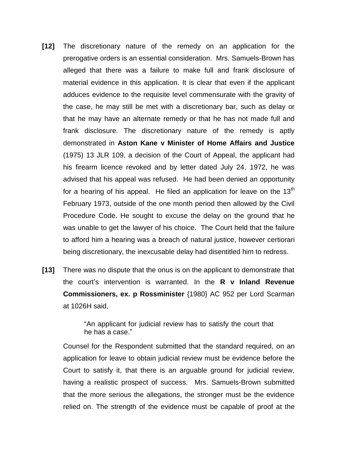- **[12]** The discretionary nature of the remedy on an application for the prerogative orders is an essential consideration. Mrs. Samuels-Brown has alleged that there was a failure to make full and frank disclosure of material evidence in this application. It is clear that even if the applicant adduces evidence to the requisite level commensurate with the gravity of the case, he may still be met with a discretionary bar, such as delay or that he may have an alternate remedy or that he has not made full and frank disclosure. The discretionary nature of the remedy is aptly demonstrated in **Aston Kane v Minister of Home Affairs and Justice** (1975) 13 JLR 109, a decision of the Court of Appeal, the applicant had his firearm licence revoked and by letter dated July 24, 1972, he was advised that his appeal was refused. He had been denied an opportunity for a hearing of his appeal. He filed an application for leave on the  $13<sup>th</sup>$ February 1973, outside of the one month period then allowed by the Civil Procedure Code. He sought to excuse the delay on the ground that he was unable to get the lawyer of his choice. The Court held that the failure to afford him a hearing was a breach of natural justice, however certiorari being discretionary, the inexcusable delay had disentitled him to redress.
- **[13]** There was no dispute that the onus is on the applicant to demonstrate that the court's intervention is warranted. In the **R v Inland Revenue Commissioners, ex. p Rossminister** {1980} AC 952 per Lord Scarman at 1026H said,

"An applicant for judicial review has to satisfy the court that he has a case."

Counsel for the Respondent submitted that the standard required, on an application for leave to obtain judicial review must be evidence before the Court to satisfy it, that there is an arguable ground for judicial review, having a realistic prospect of success. Mrs. Samuels-Brown submitted that the more serious the allegations, the stronger must be the evidence relied on. The strength of the evidence must be capable of proof at the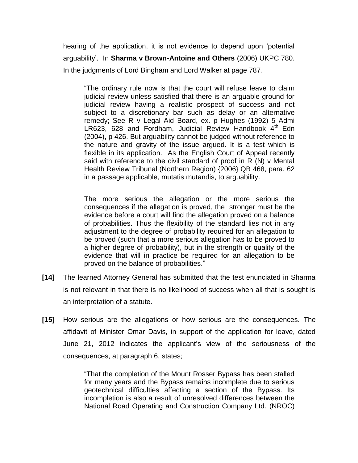hearing of the application, it is not evidence to depend upon 'potential arguability'. In **Sharma v Brown-Antoine and Others** (2006) UKPC 780. In the judgments of Lord Bingham and Lord Walker at page 787.

"The ordinary rule now is that the court will refuse leave to claim judicial review unless satisfied that there is an arguable ground for judicial review having a realistic prospect of success and not subject to a discretionary bar such as delay or an alternative remedy; See R v Legal Aid Board, ex. p Hughes (1992) 5 Admi LR623, 628 and Fordham, Judicial Review Handbook  $4<sup>th</sup>$  Edn (2004), p 426. But arguability cannot be judged without reference to the nature and gravity of the issue argued. It is a test which is flexible in its application. As the English Court of Appeal recently said with reference to the civil standard of proof in R (N) v Mental Health Review Tribunal (Northern Region) {2006} QB 468, para. 62 in a passage applicable, mutatis mutandis, to arguability.

The more serious the allegation or the more serious the consequences if the allegation is proved, the stronger must be the evidence before a court will find the allegation proved on a balance of probabilities. Thus the flexibility of the standard lies not in any adjustment to the degree of probability required for an allegation to be proved (such that a more serious allegation has to be proved to a higher degree of probability), but in the strength or quality of the evidence that will in practice be required for an allegation to be proved on the balance of probabilities."

- **[14]** The learned Attorney General has submitted that the test enunciated in Sharma is not relevant in that there is no likelihood of success when all that is sought is an interpretation of a statute.
- **[15]** How serious are the allegations or how serious are the consequences. The affidavit of Minister Omar Davis, in support of the application for leave, dated June 21, 2012 indicates the applicant's view of the seriousness of the consequences, at paragraph 6, states;

"That the completion of the Mount Rosser Bypass has been stalled for many years and the Bypass remains incomplete due to serious geotechnical difficulties affecting a section of the Bypass. Its incompletion is also a result of unresolved differences between the National Road Operating and Construction Company Ltd. (NROC)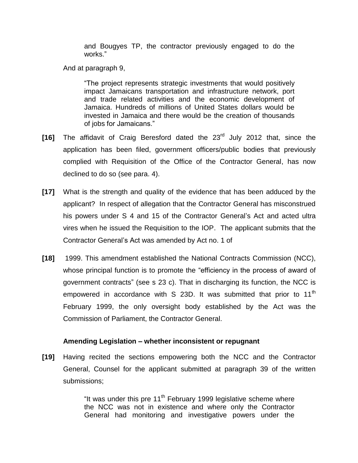and Bougyes TP, the contractor previously engaged to do the works."

And at paragraph 9,

"The project represents strategic investments that would positively impact Jamaicans transportation and infrastructure network, port and trade related activities and the economic development of Jamaica. Hundreds of millions of United States dollars would be invested in Jamaica and there would be the creation of thousands of jobs for Jamaicans."

- **[16]** The affidavit of Craig Beresford dated the 23rd July 2012 that, since the application has been filed, government officers/public bodies that previously complied with Requisition of the Office of the Contractor General, has now declined to do so (see para. 4).
- **[17]** What is the strength and quality of the evidence that has been adduced by the applicant? In respect of allegation that the Contractor General has misconstrued his powers under S 4 and 15 of the Contractor General's Act and acted ultra vires when he issued the Requisition to the IOP. The applicant submits that the Contractor General's Act was amended by Act no. 1 of
- **[18]** 1999. This amendment established the National Contracts Commission (NCC), whose principal function is to promote the "efficiency in the process of award of government contracts" (see s 23 c). That in discharging its function, the NCC is empowered in accordance with S 23D. It was submitted that prior to  $11<sup>th</sup>$ February 1999, the only oversight body established by the Act was the Commission of Parliament, the Contractor General.

## **Amending Legislation – whether inconsistent or repugnant**

**[19]** Having recited the sections empowering both the NCC and the Contractor General, Counsel for the applicant submitted at paragraph 39 of the written submissions;

> "It was under this pre  $11<sup>th</sup>$  February 1999 legislative scheme where the NCC was not in existence and where only the Contractor General had monitoring and investigative powers under the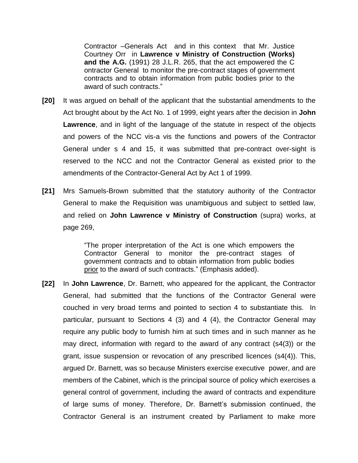Contractor –Generals Act and in this context that Mr. Justice Courtney Orr in **Lawrence v Ministry of Construction (Works) and the A.G.** (1991) 28 J.L.R. 265, that the act empowered the C ontractor General to monitor the pre-contract stages of government contracts and to obtain information from public bodies prior to the award of such contracts."

- **[20]** It was argued on behalf of the applicant that the substantial amendments to the Act brought about by the Act No. 1 of 1999, eight years after the decision in **John Lawrence**, and in light of the language of the statute in respect of the objects and powers of the NCC vis-a vis the functions and powers of the Contractor General under s 4 and 15, it was submitted that pre-contract over-sight is reserved to the NCC and not the Contractor General as existed prior to the amendments of the Contractor-General Act by Act 1 of 1999.
- **[21]** Mrs Samuels-Brown submitted that the statutory authority of the Contractor General to make the Requisition was unambiguous and subject to settled law, and relied on **John Lawrence v Ministry of Construction** (supra) works, at page 269,

"The proper interpretation of the Act is one which empowers the Contractor General to monitor the pre-contract stages of government contracts and to obtain information from public bodies prior to the award of such contracts." (Emphasis added).

**[22]** In **John Lawrence**, Dr. Barnett, who appeared for the applicant, the Contractor General, had submitted that the functions of the Contractor General were couched in very broad terms and pointed to section 4 to substantiate this. In particular, pursuant to Sections 4 (3) and 4 (4), the Contractor General may require any public body to furnish him at such times and in such manner as he may direct, information with regard to the award of any contract (s4(3)) or the grant, issue suspension or revocation of any prescribed licences (s4(4)). This, argued Dr. Barnett, was so because Ministers exercise executive power, and are members of the Cabinet, which is the principal source of policy which exercises a general control of government, including the award of contracts and expenditure of large sums of money. Therefore, Dr. Barnett's submission continued, the Contractor General is an instrument created by Parliament to make more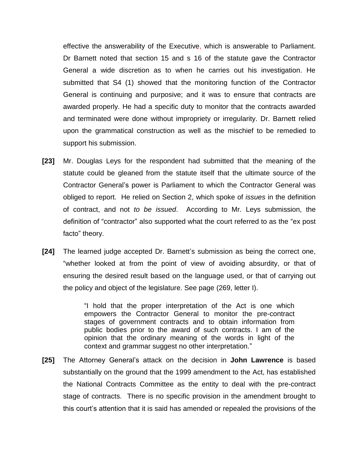effective the answerability of the Executive, which is answerable to Parliament. Dr Barnett noted that section 15 and s 16 of the statute gave the Contractor General a wide discretion as to when he carries out his investigation. He submitted that S4 (1) showed that the monitoring function of the Contractor General is continuing and purposive; and it was to ensure that contracts are awarded properly. He had a specific duty to monitor that the contracts awarded and terminated were done without impropriety or irregularity. Dr. Barnett relied upon the grammatical construction as well as the mischief to be remedied to support his submission.

- **[23]** Mr. Douglas Leys for the respondent had submitted that the meaning of the statute could be gleaned from the statute itself that the ultimate source of the Contractor General's power is Parliament to which the Contractor General was obliged to report. He relied on Section 2, which spoke of *issues* in the definition of contract, and not *to be issued*. According to Mr. Leys submission, the definition of "contractor" also supported what the court referred to as the "ex post facto" theory.
- **[24]** The learned judge accepted Dr. Barnett's submission as being the correct one, "whether looked at from the point of view of avoiding absurdity, or that of ensuring the desired result based on the language used, or that of carrying out the policy and object of the legislature. See page (269, letter I).

"I hold that the proper interpretation of the Act is one which empowers the Contractor General to monitor the pre-contract stages of government contracts and to obtain information from public bodies prior to the award of such contracts. I am of the opinion that the ordinary meaning of the words in light of the context and grammar suggest no other interpretation."

**[25]** The Attorney General's attack on the decision in **John Lawrence** is based substantially on the ground that the 1999 amendment to the Act, has established the National Contracts Committee as the entity to deal with the pre-contract stage of contracts. There is no specific provision in the amendment brought to this court's attention that it is said has amended or repealed the provisions of the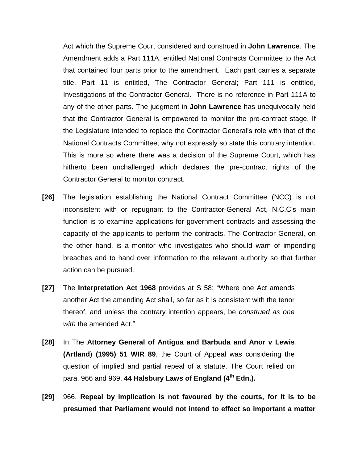Act which the Supreme Court considered and construed in **John Lawrence**. The Amendment adds a Part 111A, entitled National Contracts Committee to the Act that contained four parts prior to the amendment. Each part carries a separate title, Part 11 is entitled, The Contractor General; Part 111 is entitled, Investigations of the Contractor General. There is no reference in Part 111A to any of the other parts. The judgment in **John Lawrence** has unequivocally held that the Contractor General is empowered to monitor the pre-contract stage. If the Legislature intended to replace the Contractor General's role with that of the National Contracts Committee, why not expressly so state this contrary intention. This is more so where there was a decision of the Supreme Court, which has hitherto been unchallenged which declares the pre-contract rights of the Contractor General to monitor contract.

- **[26]** The legislation establishing the National Contract Committee (NCC) is not inconsistent with or repugnant to the Contractor-General Act, N.C.C's main function is to examine applications for government contracts and assessing the capacity of the applicants to perform the contracts. The Contractor General, on the other hand, is a monitor who investigates who should warn of impending breaches and to hand over information to the relevant authority so that further action can be pursued.
- **[27]** The **Interpretation Act 1968** provides at S 58; "Where one Act amends another Act the amending Act shall, so far as it is consistent with the tenor thereof, and unless the contrary intention appears, be *construed as one with* the amended Act."
- **[28]** In The **Attorney General of Antigua and Barbuda and Anor v Lewis (Artland**) **(1995) 51 WIR 89**, the Court of Appeal was considering the question of implied and partial repeal of a statute. The Court relied on para. 966 and 969, **44 Halsbury Laws of England (4th Edn.).**
- **[29]** 966. **Repeal by implication is not favoured by the courts, for it is to be presumed that Parliament would not intend to effect so important a matter**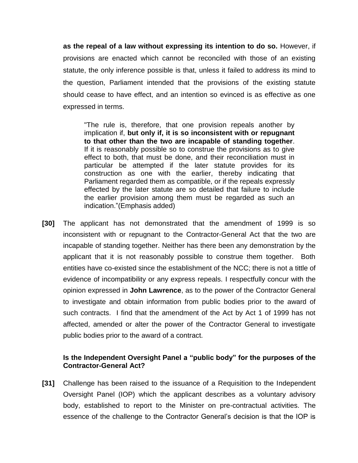**as the repeal of a law without expressing its intention to do so.** However, if provisions are enacted which cannot be reconciled with those of an existing statute, the only inference possible is that, unless it failed to address its mind to the question, Parliament intended that the provisions of the existing statute should cease to have effect, and an intention so evinced is as effective as one expressed in terms.

"The rule is, therefore, that one provision repeals another by implication if, **but only if, it is so inconsistent with or repugnant to that other than the two are incapable of standing together**. If it is reasonably possible so to construe the provisions as to give effect to both, that must be done, and their reconciliation must in particular be attempted if the later statute provides for its construction as one with the earlier, thereby indicating that Parliament regarded them as compatible, or if the repeals expressly effected by the later statute are so detailed that failure to include the earlier provision among them must be regarded as such an indication."(Emphasis added)

**[30]** The applicant has not demonstrated that the amendment of 1999 is so inconsistent with or repugnant to the Contractor-General Act that the two are incapable of standing together. Neither has there been any demonstration by the applicant that it is not reasonably possible to construe them together. Both entities have co-existed since the establishment of the NCC; there is not a tittle of evidence of incompatibility or any express repeals. I respectfully concur with the opinion expressed in **John Lawrence**, as to the power of the Contractor General to investigate and obtain information from public bodies prior to the award of such contracts. I find that the amendment of the Act by Act 1 of 1999 has not affected, amended or alter the power of the Contractor General to investigate public bodies prior to the award of a contract.

#### **Is the Independent Oversight Panel a "public body" for the purposes of the Contractor-General Act?**

**[31]** Challenge has been raised to the issuance of a Requisition to the Independent Oversight Panel (IOP) which the applicant describes as a voluntary advisory body, established to report to the Minister on pre-contractual activities. The essence of the challenge to the Contractor General's decision is that the IOP is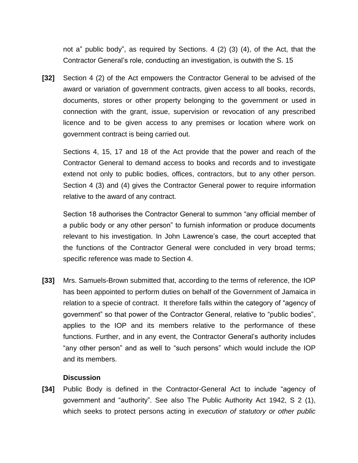not a" public body", as required by Sections. 4 (2) (3) (4), of the Act, that the Contractor General's role, conducting an investigation, is outwith the S. 15

**[32]** Section 4 (2) of the Act empowers the Contractor General to be advised of the award or variation of government contracts, given access to all books, records, documents, stores or other property belonging to the government or used in connection with the grant, issue, supervision or revocation of any prescribed licence and to be given access to any premises or location where work on government contract is being carried out.

Sections 4, 15, 17 and 18 of the Act provide that the power and reach of the Contractor General to demand access to books and records and to investigate extend not only to public bodies, offices, contractors, but to any other person. Section 4 (3) and (4) gives the Contractor General power to require information relative to the award of any contract.

Section 18 authorises the Contractor General to summon "any official member of a public body or any other person" to furnish information or produce documents relevant to his investigation. In John Lawrence's case, the court accepted that the functions of the Contractor General were concluded in very broad terms; specific reference was made to Section 4.

**[33]** Mrs. Samuels-Brown submitted that, according to the terms of reference, the IOP has been appointed to perform duties on behalf of the Government of Jamaica in relation to a specie of contract. It therefore falls within the category of "agency of government" so that power of the Contractor General, relative to "public bodies", applies to the IOP and its members relative to the performance of these functions. Further, and in any event, the Contractor General's authority includes "any other person" and as well to "such persons" which would include the IOP and its members.

#### **Discussion**

**[34]** Public Body is defined in the Contractor-General Act to include "agency of government and "authority". See also The Public Authority Act 1942, S 2 (1), which seeks to protect persons acting in *execution of statutory or other public*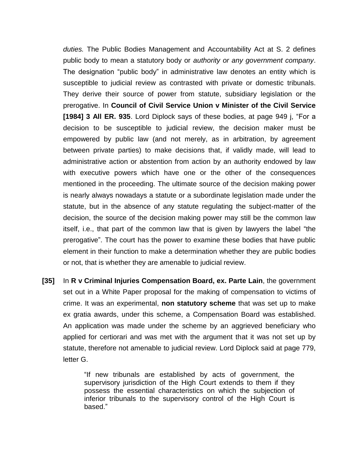*duties.* The Public Bodies Management and Accountability Act at S. 2 defines public body to mean a statutory body or *authority or any government company*. The designation "public body" in administrative law denotes an entity which is susceptible to judicial review as contrasted with private or domestic tribunals. They derive their source of power from statute, subsidiary legislation or the prerogative. In **Council of Civil Service Union v Minister of the Civil Service [1984] 3 All ER. 935**. Lord Diplock says of these bodies, at page 949 j, "For a decision to be susceptible to judicial review, the decision maker must be empowered by public law (and not merely, as in arbitration, by agreement between private parties) to make decisions that, if validly made, will lead to administrative action or abstention from action by an authority endowed by law with executive powers which have one or the other of the consequences mentioned in the proceeding. The ultimate source of the decision making power is nearly always nowadays a statute or a subordinate legislation made under the statute, but in the absence of any statute regulating the subject-matter of the decision, the source of the decision making power may still be the common law itself, i.e., that part of the common law that is given by lawyers the label "the prerogative". The court has the power to examine these bodies that have public element in their function to make a determination whether they are public bodies or not, that is whether they are amenable to judicial review.

**[35]** In **R v Criminal Injuries Compensation Board, ex. Parte Lain**, the government set out in a White Paper proposal for the making of compensation to victims of crime. It was an experimental, **non statutory scheme** that was set up to make ex gratia awards, under this scheme, a Compensation Board was established. An application was made under the scheme by an aggrieved beneficiary who applied for certiorari and was met with the argument that it was not set up by statute, therefore not amenable to judicial review. Lord Diplock said at page 779, letter G.

> "If new tribunals are established by acts of government, the supervisory jurisdiction of the High Court extends to them if they possess the essential characteristics on which the subjection of inferior tribunals to the supervisory control of the High Court is based."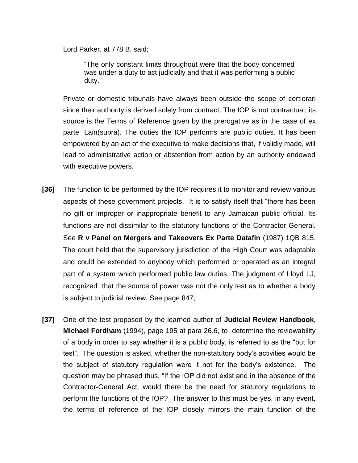Lord Parker, at 778 B, said;

"The only constant limits throughout were that the body concerned was under a duty to act judicially and that it was performing a public duty."

Private or domestic tribunals have always been outside the scope of certiorari since their authority is derived solely from contract. The IOP is not contractual; its source is the Terms of Reference given by the prerogative as in the case of ex parte Lain(supra). The duties the IOP performs are public duties. It has been empowered by an act of the executive to make decisions that, if validly made, will lead to administrative action or abstention from action by an authority endowed with executive powers.

- **[36]** The function to be performed by the IOP requires it to monitor and review various aspects of these government projects. It is to satisfy itself that "there has been no gift or improper or inappropriate benefit to any Jamaican public official. Its functions are not dissimilar to the statutory functions of the Contractor General. See **R v Panel on Mergers and Takeovers Ex Parte Datafin** (1987) 1QB 815. The court held that the supervisory jurisdiction of the High Court was adaptable and could be extended to anybody which performed or operated as an integral part of a system which performed public law duties. The judgment of Lloyd LJ, recognized that the source of power was not the only test as to whether a body is subject to judicial review. See page 847;
- **[37]** One of the test proposed by the learned author of **Judicial Review Handbook**, **Michael Fordham** (1994), page 195 at para 26.6, to determine the reviewability of a body in order to say whether it is a public body, is referred to as the "but for test". The question is asked, whether the non-statutory body's activities would be the subject of statutory regulation were it not for the body's existence. The question may be phrased thus, "If the IOP did not exist and in the absence of the Contractor-General Act, would there be the need for statutory regulations to perform the functions of the IOP? The answer to this must be yes, in any event, the terms of reference of the IOP closely mirrors the main function of the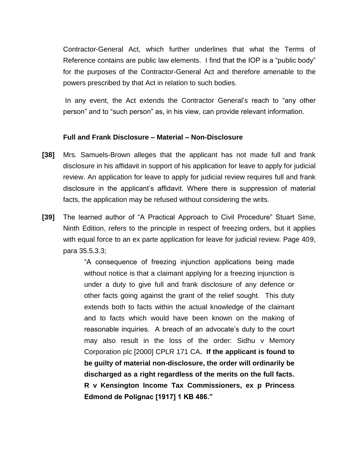Contractor-General Act, which further underlines that what the Terms of Reference contains are public law elements. I find that the IOP is a "public body" for the purposes of the Contractor-General Act and therefore amenable to the powers prescribed by that Act in relation to such bodies.

In any event, the Act extends the Contractor General's reach to "any other person" and to "such person" as, in his view, can provide relevant information.

#### **Full and Frank Disclosure – Material – Non-Disclosure**

- **[38]** Mrs. Samuels-Brown alleges that the applicant has not made full and frank disclosure in his affidavit in support of his application for leave to apply for judicial review. An application for leave to apply for judicial review requires full and frank disclosure in the applicant's affidavit. Where there is suppression of material facts, the application may be refused without considering the writs.
- **[39]** The learned author of "A Practical Approach to Civil Procedure" Stuart Sime, Ninth Edition, refers to the principle in respect of freezing orders, but it applies with equal force to an ex parte application for leave for judicial review. Page 409, para 35.5.3.3;

"A consequence of freezing injunction applications being made without notice is that a claimant applying for a freezing injunction is under a duty to give full and frank disclosure of any defence or other facts going against the grant of the relief sought. This duty extends both to facts within the actual knowledge of the claimant and to facts which would have been known on the making of reasonable inquiries. A breach of an advocate's duty to the court may also result in the loss of the order: Sidhu v Memory Corporation plc [2000] CPLR 171 CA**. If the applicant is found to be guilty of material non-disclosure, the order will ordinarily be discharged as a right regardless of the merits on the full facts. R v Kensington Income Tax Commissioners, ex p Princess Edmond de Polignac [1917] 1 KB 486."**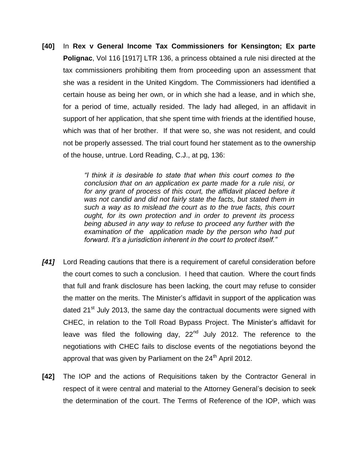**[40]** In **Rex v General Income Tax Commissioners for Kensington; Ex parte Polignac**, Vol 116 [1917] LTR 136, a princess obtained a rule nisi directed at the tax commissioners prohibiting them from proceeding upon an assessment that she was a resident in the United Kingdom. The Commissioners had identified a certain house as being her own, or in which she had a lease, and in which she, for a period of time, actually resided. The lady had alleged, in an affidavit in support of her application, that she spent time with friends at the identified house, which was that of her brother. If that were so, she was not resident, and could not be properly assessed. The trial court found her statement as to the ownership of the house, untrue. Lord Reading, C.J., at pg, 136:

> *"I think it is desirable to state that when this court comes to the conclusion that on an application ex parte made for a rule nisi, or*  for any grant of process of this court, the affidavit placed before it *was not candid and did not fairly state the facts, but stated them in such a way as to mislead the court as to the true facts, this court ought, for its own protection and in order to prevent its process being abused in any way to refuse to proceed any further with the examination of the application made by the person who had put forward. It's a jurisdiction inherent in the court to protect itself."*

- *[41]* Lord Reading cautions that there is a requirement of careful consideration before the court comes to such a conclusion. I heed that caution. Where the court finds that full and frank disclosure has been lacking, the court may refuse to consider the matter on the merits. The Minister's affidavit in support of the application was dated 21 $^{\text{st}}$  July 2013, the same day the contractual documents were signed with CHEC, in relation to the Toll Road Bypass Project. The Minister's affidavit for leave was filed the following day,  $22<sup>nd</sup>$  July 2012. The reference to the negotiations with CHEC fails to disclose events of the negotiations beyond the approval that was given by Parliament on the  $24<sup>th</sup>$  April 2012.
- **[42]** The IOP and the actions of Requisitions taken by the Contractor General in respect of it were central and material to the Attorney General's decision to seek the determination of the court. The Terms of Reference of the IOP, which was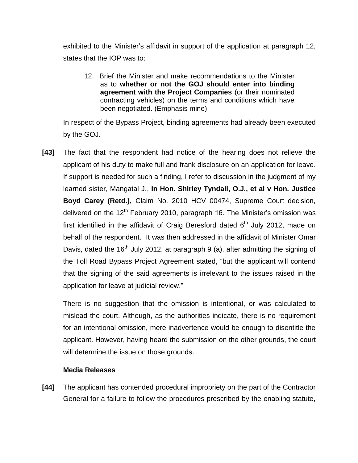exhibited to the Minister's affidavit in support of the application at paragraph 12, states that the IOP was to:

12. Brief the Minister and make recommendations to the Minister as to **whether or not the GOJ should enter into binding agreement with the Project Companies** (or their nominated contracting vehicles) on the terms and conditions which have been negotiated. (Emphasis mine)

In respect of the Bypass Project, binding agreements had already been executed by the GOJ.

**[43]** The fact that the respondent had notice of the hearing does not relieve the applicant of his duty to make full and frank disclosure on an application for leave. If support is needed for such a finding, I refer to discussion in the judgment of my learned sister, Mangatal J., **In Hon. Shirley Tyndall, O.J., et al v Hon. Justice Boyd Carey (Retd.),** Claim No. 2010 HCV 00474, Supreme Court decision, delivered on the 12<sup>th</sup> February 2010, paragraph 16. The Minister's omission was first identified in the affidavit of Craig Beresford dated  $6<sup>th</sup>$  July 2012, made on behalf of the respondent. It was then addressed in the affidavit of Minister Omar Davis, dated the 16<sup>th</sup> July 2012, at paragraph 9 (a), after admitting the signing of the Toll Road Bypass Project Agreement stated, "but the applicant will contend that the signing of the said agreements is irrelevant to the issues raised in the application for leave at judicial review."

There is no suggestion that the omission is intentional, or was calculated to mislead the court. Although, as the authorities indicate, there is no requirement for an intentional omission, mere inadvertence would be enough to disentitle the applicant. However, having heard the submission on the other grounds, the court will determine the issue on those grounds.

#### **Media Releases**

**[44]** The applicant has contended procedural impropriety on the part of the Contractor General for a failure to follow the procedures prescribed by the enabling statute,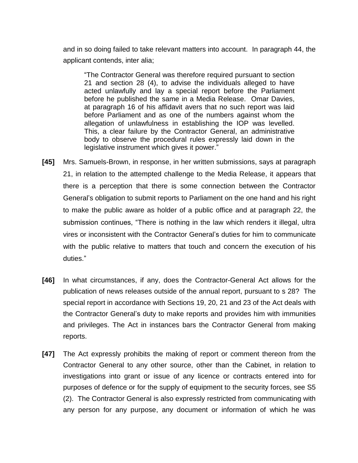and in so doing failed to take relevant matters into account. In paragraph 44, the applicant contends, inter alia;

"The Contractor General was therefore required pursuant to section 21 and section 28 (4), to advise the individuals alleged to have acted unlawfully and lay a special report before the Parliament before he published the same in a Media Release. Omar Davies, at paragraph 16 of his affidavit avers that no such report was laid before Parliament and as one of the numbers against whom the allegation of unlawfulness in establishing the IOP was levelled. This, a clear failure by the Contractor General, an administrative body to observe the procedural rules expressly laid down in the legislative instrument which gives it power."

- **[45]** Mrs. Samuels-Brown, in response, in her written submissions, says at paragraph 21, in relation to the attempted challenge to the Media Release, it appears that there is a perception that there is some connection between the Contractor General's obligation to submit reports to Parliament on the one hand and his right to make the public aware as holder of a public office and at paragraph 22, the submission continues, "There is nothing in the law which renders it illegal, ultra vires or inconsistent with the Contractor General's duties for him to communicate with the public relative to matters that touch and concern the execution of his duties."
- **[46]** In what circumstances, if any, does the Contractor-General Act allows for the publication of news releases outside of the annual report, pursuant to s 28? The special report in accordance with Sections 19, 20, 21 and 23 of the Act deals with the Contractor General's duty to make reports and provides him with immunities and privileges. The Act in instances bars the Contractor General from making reports.
- **[47]** The Act expressly prohibits the making of report or comment thereon from the Contractor General to any other source, other than the Cabinet, in relation to investigations into grant or issue of any licence or contracts entered into for purposes of defence or for the supply of equipment to the security forces, see S5 (2). The Contractor General is also expressly restricted from communicating with any person for any purpose, any document or information of which he was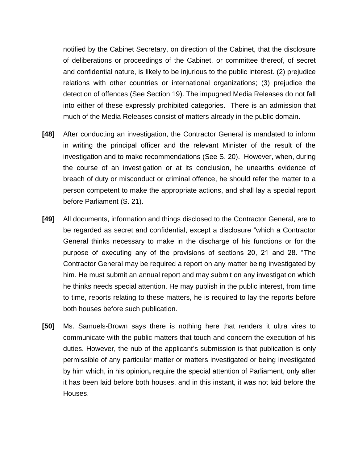notified by the Cabinet Secretary, on direction of the Cabinet, that the disclosure of deliberations or proceedings of the Cabinet, or committee thereof, of secret and confidential nature, is likely to be injurious to the public interest. (2) prejudice relations with other countries or international organizations; (3) prejudice the detection of offences (See Section 19). The impugned Media Releases do not fall into either of these expressly prohibited categories. There is an admission that much of the Media Releases consist of matters already in the public domain.

- **[48]** After conducting an investigation, the Contractor General is mandated to inform in writing the principal officer and the relevant Minister of the result of the investigation and to make recommendations (See S. 20). However, when, during the course of an investigation or at its conclusion, he unearths evidence of breach of duty or misconduct or criminal offence, he should refer the matter to a person competent to make the appropriate actions, and shall lay a special report before Parliament (S. 21).
- **[49]** All documents, information and things disclosed to the Contractor General, are to be regarded as secret and confidential, except a disclosure "which a Contractor General thinks necessary to make in the discharge of his functions or for the purpose of executing any of the provisions of sections 20, 21 and 28. "The Contractor General may be required a report on any matter being investigated by him. He must submit an annual report and may submit on any investigation which he thinks needs special attention. He may publish in the public interest, from time to time, reports relating to these matters, he is required to lay the reports before both houses before such publication.
- **[50]** Ms. Samuels-Brown says there is nothing here that renders it ultra vires to communicate with the public matters that touch and concern the execution of his duties. However, the nub of the applicant's submission is that publication is only permissible of any particular matter or matters investigated or being investigated by him which, in his opinion**,** require the special attention of Parliament, only after it has been laid before both houses, and in this instant, it was not laid before the Houses.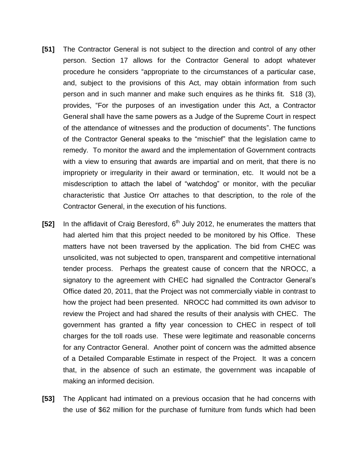- **[51]** The Contractor General is not subject to the direction and control of any other person. Section 17 allows for the Contractor General to adopt whatever procedure he considers "appropriate to the circumstances of a particular case, and, subject to the provisions of this Act, may obtain information from such person and in such manner and make such enquires as he thinks fit. S18 (3), provides, "For the purposes of an investigation under this Act, a Contractor General shall have the same powers as a Judge of the Supreme Court in respect of the attendance of witnesses and the production of documents". The functions of the Contractor General speaks to the "mischief" that the legislation came to remedy. To monitor the award and the implementation of Government contracts with a view to ensuring that awards are impartial and on merit, that there is no impropriety or irregularity in their award or termination, etc. It would not be a misdescription to attach the label of "watchdog" or monitor, with the peculiar characteristic that Justice Orr attaches to that description, to the role of the Contractor General, in the execution of his functions.
- **[52]** In the affidavit of Craig Beresford, 6<sup>th</sup> July 2012, he enumerates the matters that had alerted him that this project needed to be monitored by his Office. These matters have not been traversed by the application. The bid from CHEC was unsolicited, was not subjected to open, transparent and competitive international tender process. Perhaps the greatest cause of concern that the NROCC, a signatory to the agreement with CHEC had signalled the Contractor General's Office dated 20, 2011, that the Project was not commercially viable in contrast to how the project had been presented. NROCC had committed its own advisor to review the Project and had shared the results of their analysis with CHEC. The government has granted a fifty year concession to CHEC in respect of toll charges for the toll roads use. These were legitimate and reasonable concerns for any Contractor General. Another point of concern was the admitted absence of a Detailed Comparable Estimate in respect of the Project. It was a concern that, in the absence of such an estimate, the government was incapable of making an informed decision.
- **[53]** The Applicant had intimated on a previous occasion that he had concerns with the use of \$62 million for the purchase of furniture from funds which had been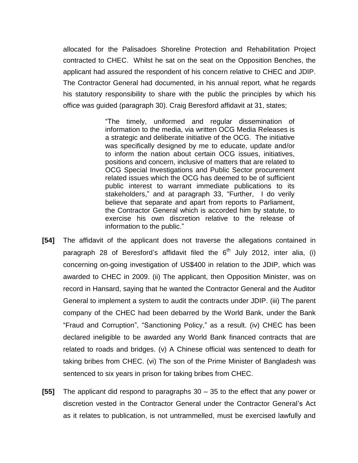allocated for the Palisadoes Shoreline Protection and Rehabilitation Project contracted to CHEC. Whilst he sat on the seat on the Opposition Benches, the applicant had assured the respondent of his concern relative to CHEC and JDIP. The Contractor General had documented, in his annual report, what he regards his statutory responsibility to share with the public the principles by which his office was guided (paragraph 30). Craig Beresford affidavit at 31, states;

> "The timely, uniformed and regular dissemination of information to the media, via written OCG Media Releases is a strategic and deliberate initiative of the OCG. The initiative was specifically designed by me to educate, update and/or to inform the nation about certain OCG issues, initiatives, positions and concern, inclusive of matters that are related to OCG Special Investigations and Public Sector procurement related issues which the OCG has deemed to be of sufficient public interest to warrant immediate publications to its stakeholders," and at paragraph 33, "Further, I do verily believe that separate and apart from reports to Parliament, the Contractor General which is accorded him by statute, to exercise his own discretion relative to the release of information to the public."

- **[54]** The affidavit of the applicant does not traverse the allegations contained in paragraph 28 of Beresford's affidavit filed the 6<sup>th</sup> July 2012, inter alia, (i) concerning on-going investigation of US\$400 in relation to the JDIP, which was awarded to CHEC in 2009. (ii) The applicant, then Opposition Minister, was on record in Hansard, saying that he wanted the Contractor General and the Auditor General to implement a system to audit the contracts under JDIP. (iii) The parent company of the CHEC had been debarred by the World Bank, under the Bank "Fraud and Corruption", "Sanctioning Policy," as a result. (iv) CHEC has been declared ineligible to be awarded any World Bank financed contracts that are related to roads and bridges. (v) A Chinese official was sentenced to death for taking bribes from CHEC. (vi) The son of the Prime Minister of Bangladesh was sentenced to six years in prison for taking bribes from CHEC.
- **[55]** The applicant did respond to paragraphs 30 35 to the effect that any power or discretion vested in the Contractor General under the Contractor General's Act as it relates to publication, is not untrammelled, must be exercised lawfully and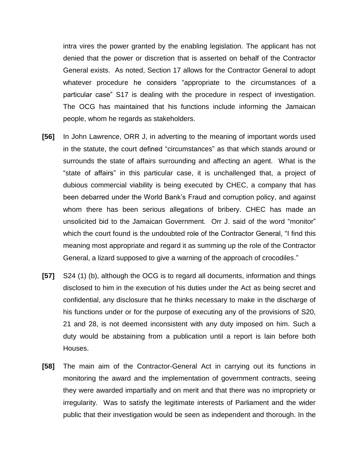intra vires the power granted by the enabling legislation. The applicant has not denied that the power or discretion that is asserted on behalf of the Contractor General exists. As noted, Section 17 allows for the Contractor General to adopt whatever procedure he considers "appropriate to the circumstances of a particular case" S17 is dealing with the procedure in respect of investigation. The OCG has maintained that his functions include informing the Jamaican people, whom he regards as stakeholders.

- **[56]** In John Lawrence, ORR J, in adverting to the meaning of important words used in the statute, the court defined "circumstances" as that which stands around or surrounds the state of affairs surrounding and affecting an agent. What is the "state of affairs" in this particular case, it is unchallenged that, a project of dubious commercial viability is being executed by CHEC, a company that has been debarred under the World Bank's Fraud and corruption policy, and against whom there has been serious allegations of bribery. CHEC has made an unsolicited bid to the Jamaican Government. Orr J. said of the word "monitor" which the court found is the undoubted role of the Contractor General, "I find this meaning most appropriate and regard it as summing up the role of the Contractor General, a lizard supposed to give a warning of the approach of crocodiles."
- **[57]** S24 (1) (b), although the OCG is to regard all documents, information and things disclosed to him in the execution of his duties under the Act as being secret and confidential, any disclosure that he thinks necessary to make in the discharge of his functions under or for the purpose of executing any of the provisions of S20, 21 and 28, is not deemed inconsistent with any duty imposed on him. Such a duty would be abstaining from a publication until a report is lain before both Houses.
- **[58]** The main aim of the Contractor-General Act in carrying out its functions in monitoring the award and the implementation of government contracts, seeing they were awarded impartially and on merit and that there was no impropriety or irregularity. Was to satisfy the legitimate interests of Parliament and the wider public that their investigation would be seen as independent and thorough. In the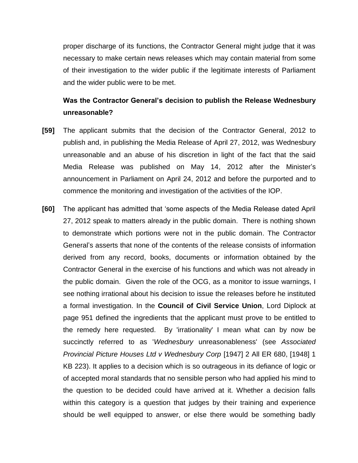proper discharge of its functions, the Contractor General might judge that it was necessary to make certain news releases which may contain material from some of their investigation to the wider public if the legitimate interests of Parliament and the wider public were to be met.

# **Was the Contractor General's decision to publish the Release Wednesbury unreasonable?**

- **[59]** The applicant submits that the decision of the Contractor General, 2012 to publish and, in publishing the Media Release of April 27, 2012, was Wednesbury unreasonable and an abuse of his discretion in light of the fact that the said Media Release was published on May 14, 2012 after the Minister's announcement in Parliament on April 24, 2012 and before the purported and to commence the monitoring and investigation of the activities of the IOP.
- **[60]** The applicant has admitted that 'some aspects of the Media Release dated April 27, 2012 speak to matters already in the public domain. There is nothing shown to demonstrate which portions were not in the public domain. The Contractor General's asserts that none of the contents of the release consists of information derived from any record, books, documents or information obtained by the Contractor General in the exercise of his functions and which was not already in the public domain. Given the role of the OCG, as a monitor to issue warnings, I see nothing irrational about his decision to issue the releases before he instituted a formal investigation. In the **Council of Civil Service Union**, Lord Diplock at page 951 defined the ingredients that the applicant must prove to be entitled to the remedy here requested. By 'irrationality' I mean what can by now be succinctly referred to as '*Wednesbury* unreasonableness' (see *Associated Provincial Picture Houses Ltd v Wednesbury Corp* [\[1947\] 2 All ER 680,](http://www.lexisnexis.com/uk/legal/search/enhRunRemoteLink.do?ersKey=23_T16624747297&langcountry=GB&backKey=20_T16624752302&linkInfo=F%23GB%23ALLER%23sel2%252%25year%251947%25page%25680%25sel1%251947%25vol%252%25&service=citation&A=0.298977119546888) [\[1948\] 1](http://www.lexisnexis.com/uk/legal/search/enhRunRemoteLink.do?ersKey=23_T16624747297&langcountry=GB&backKey=20_T16624752302&linkInfo=F%23GB%23KB%23sel2%251%25year%251948%25page%25223%25sel1%251948%25vol%251%25&service=citation&A=0.40168999007571526)  [KB 223\)](http://www.lexisnexis.com/uk/legal/search/enhRunRemoteLink.do?ersKey=23_T16624747297&langcountry=GB&backKey=20_T16624752302&linkInfo=F%23GB%23KB%23sel2%251%25year%251948%25page%25223%25sel1%251948%25vol%251%25&service=citation&A=0.40168999007571526). It applies to a decision which is so outrageous in its defiance of logic or of accepted moral standards that no sensible person who had applied his mind to the question to be decided could have arrived at it. Whether a decision falls within this category is a question that judges by their training and experience should be well equipped to answer, or else there would be something badly